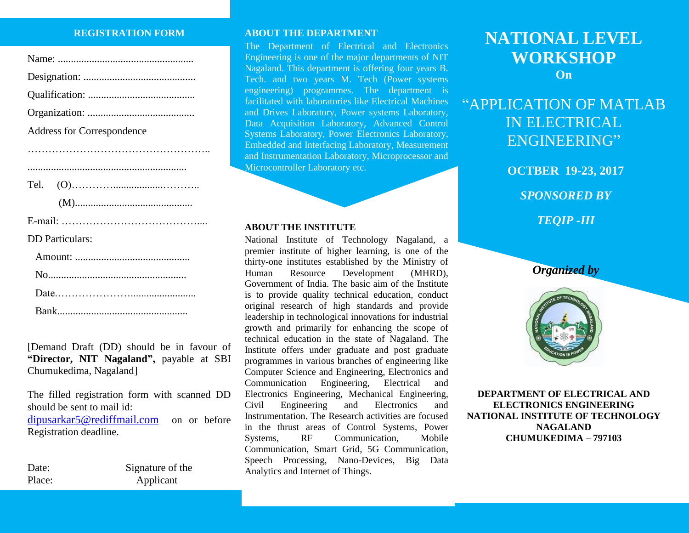#### **REGISTRATION FORM**

| Address for Correspondence |
|----------------------------|
|                            |
|                            |
| Tel.                       |
|                            |
|                            |
| <b>DD</b> Particulars:     |
|                            |
|                            |
|                            |
|                            |

Bank..................................................

[Demand Draft (DD) should be in favour of **"Director, NIT Nagaland",** payable at SBI Chumukedima, Nagaland]

The filled registration form with scanned DD should be sent to mail id: [dipusarkar5@r](mailto:dipusarkar5@)ediffmail.com on or before Registration deadline.

Date: Signature of the Place: Applicant

#### **ABOUT THE DEPARTMENT**

The Department of Electrical and Electronics Engineering is one of the major departments of NIT Nagaland. This department is offering four years B. Tech. and two years M. Tech (Power systems engineering) programmes. The department is facilitated with laboratories like Electrical Machines and Drives Laboratory, Power systems Laboratory, Data Acquisition Laboratory, Advanced Control Systems Laboratory, Power Electronics Laboratory, Embedded and Interfacing Laboratory, Measurement and Instrumentation Laboratory, Microprocessor and Microcontroller Laboratory etc.

#### **ABOUT THE INSTITUTE**

National Institute of Technology Nagaland, a premier institute of higher learning, is one of the thirty-one institutes established by the Ministry of Human Resource Development (MHRD), Government of India. The basic aim of the Institute is to provide quality technical education, conduct original research of high standards and provide leadership in technological innovations for industrial growth and primarily for enhancing the scope of technical education in the state of Nagaland. The Institute offers under graduate and post graduate programmes in various branches of engineering like Computer Science and Engineering, Electronics and Communication Engineering, Electrical and Electronics Engineering, Mechanical Engineering, Civil Engineering and Electronics and Instrumentation. The Research activities are focused in the thrust areas of Control Systems, Power Systems, RF Communication, Mobile Communication, Smart Grid, 5G Communication, Speech Processing, Nano-Devices, Big Data Analytics and Internet of Things.

# **NATIONAL LEVEL WORKSHOP On**

# "APPLICATION OF MATLAB IN ELECTRICAL ENGINEERING"

**OCTBER 19-23, 2017** *SPONSORED BY TEQIP -III*

*Organized by*



**DEPARTMENT OF ELECTRICAL AND ELECTRONICS ENGINEERING NATIONAL INSTITUTE OF TECHNOLOGY NAGALAND CHUMUKEDIMA – 797103**